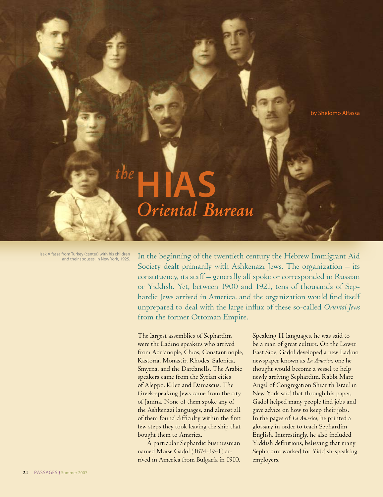

## **HIAS**  *Oriental Bureau the*

Isak Alfassa from Turkey (center) with his children and their spouses, in New York, 1925.

In the beginning of the twentieth century the Hebrew Immigrant Aid Society dealt primarily with Ashkenazi Jews. The organization – its constituency, its staff – generally all spoke or corresponded in Russian or Yiddish. Yet, between 1900 and 1921, tens of thousands of Sephardic Jews arrived in America, and the organization would find itself unprepared to deal with the large influx of these so-called *Oriental Jews* from the former Ottoman Empire.

The largest assemblies of Sephardim were the Ladino speakers who arrived from Adrianople, Chios, Constantinople, Kastoria, Monastir, Rhodes, Salonica, Smyrna, and the Dardanells. The Arabic speakers came from the Syrian cities of Aleppo, Kilez and Damascus. The Greek-speaking Jews came from the city of Janina. None of them spoke any of the Ashkenazi languages, and almost all of them found difficulty within the first few steps they took leaving the ship that bought them to America.

A particular Sephardic businessman named Moise Gadol (1874-1941) arrived in America from Bulgaria in 1910. Speaking 11 languages, he was said to be a man of great culture. On the Lower East Side, Gadol developed a new Ladino newspaper known as *La America*, one he thought would become a vessel to help newly arriving Sephardim. Rabbi Marc Angel of Congregation Shearith Israel in New York said that through his paper, Gadol helped many people find jobs and gave advice on how to keep their jobs. In the pages of *La America*, he printed a glossary in order to teach Sephardim English. Interestingly, he also included Yiddish definitions, believing that many Sephardim worked for Yiddish-speaking employers.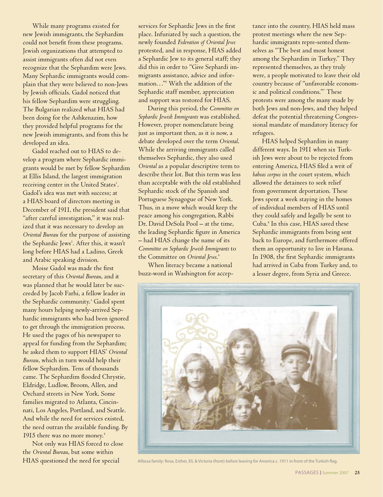While many programs existed for new Jewish immigrants, the Sephardim could not benefit from these programs. Jewish organizations that attempted to assist immigrants often did not even recognize that the Sephardim were Jews. Many Sephardic immigrants would complain that they were believed to non-Jews by Jewish officials. Gadol noticed that his fellow Sephardim were struggling. The Bulgarian realized what HIAS had been doing for the Ashkenazim, how they provided helpful programs for the new Jewish immigrants, and from this he developed an idea.

Gadol reached out to HIAS to develop a program where Sephardic immigrants would be met by fellow Sephardim at Ellis Island, the largest immigration receiving center in the United States<sup>1</sup>. Gadol's idea was met with success; at a HIAS board of directors meeting in December of 1911, the president said that "after careful investigation," it was realized that it was necessary to develop an *Oriental Bureau* for the purpose of assisting the Sephardic Jews<sup>2</sup>. After this, it wasn't long before HIAS had a Ladino, Greek and Arabic speaking division.

Moise Gadol was made the first secretary of this *Oriental Bureau*, and it was planned that he would later be succeeded by Jacob Farhi, a fellow leader in the Sephardic community.<sup>3</sup> Gadol spent many hours helping newly-arrived Sephardic immigrants who had been ignored to get through the immigration process. He used the pages of his newspaper to appeal for funding from the Sephardim; he asked them to support HIAS' *Oriental Bureau*, which in turn would help their fellow Sephardim. Tens of thousands came. The Sephardim flooded Chrystie, Eldridge, Ludlow, Broom, Allen, and Orchard streets in New York. Some families migrated to Atlanta, Cincinnati, Los Angeles, Portland, and Seattle. And while the need for services existed, the need outran the available funding. By 1915 there was no more money.<sup>4</sup>

Not only was HIAS forced to close the *Oriental Bureau*, but some within HIAS questioned the need for special

services for Sephardic Jews in the first place. Infuriated by such a question, the newly founded *Federation of Oriental Jews* protested, and in response, HIAS added a Sephardic Jew to its general staff; they did this in order to "Give Sephardi immigrants assistance, advice and information…"5 With the addition of the Sephardic staff member, appreciation and support was restored for HIAS.

During this period, the *Committee on Sephardic Jewish Immigrants* was established. However, proper nomenclature being just as important then, as it is now, a debate developed over the term *Oriental*. While the arriving immigrants called themselves Sephardic, they also used *Oriental* as a popular descriptive term to describe their lot. But this term was less than acceptable with the old established Sephardic stock of the Spanish and Portuguese Synagogue of New York. Thus, in a move which would keep the peace among his congregation, Rabbi Dr. David DeSola Pool – at the time, the leading Sephardic figure in America – had HIAS change the name of its *Committee on Sephardic Jewish Immigrants* to the Committee on *Oriental Jews*. 6

When literacy became a national buzz-word in Washington for acceptance into the country, HIAS held mass protest meetings where the new Sephardic immigrants repre-sented themselves as "The best and most honest among the Sephardim in Turkey." They represented themselves, as they truly were, a people motivated to leave their old country because of "unfavorable economic and political conditions."7 These protests were among the many made by both Jews and non-Jews, and they helped defeat the potential threatening Congressional mandate of mandatory literacy for refugees.

HIAS helped Sephardim in many different ways. In 1911 when six Turkish Jews were about to be rejected from entering America, HIAS filed a writ of *habeas corpus* in the court system, which allowed the detainees to seek relief from government deportation. These Jews spent a week staying in the homes of individual members of HIAS until they could safely and legally be sent to Cuba.8 In this case, HIAS saved these Sephardic immigrants from being sent back to Europe, and furthermore offered them an opportunity to live in Havana. In 1908, the first Sephardic immigrants had arrived in Cuba from Turkey and, to a lesser degree, from Syria and Greece.



Alfassa family: Rosa, Esther, Eli, & Victoria (front) before leaving for America c. 1911 in front of the Turkish flag.